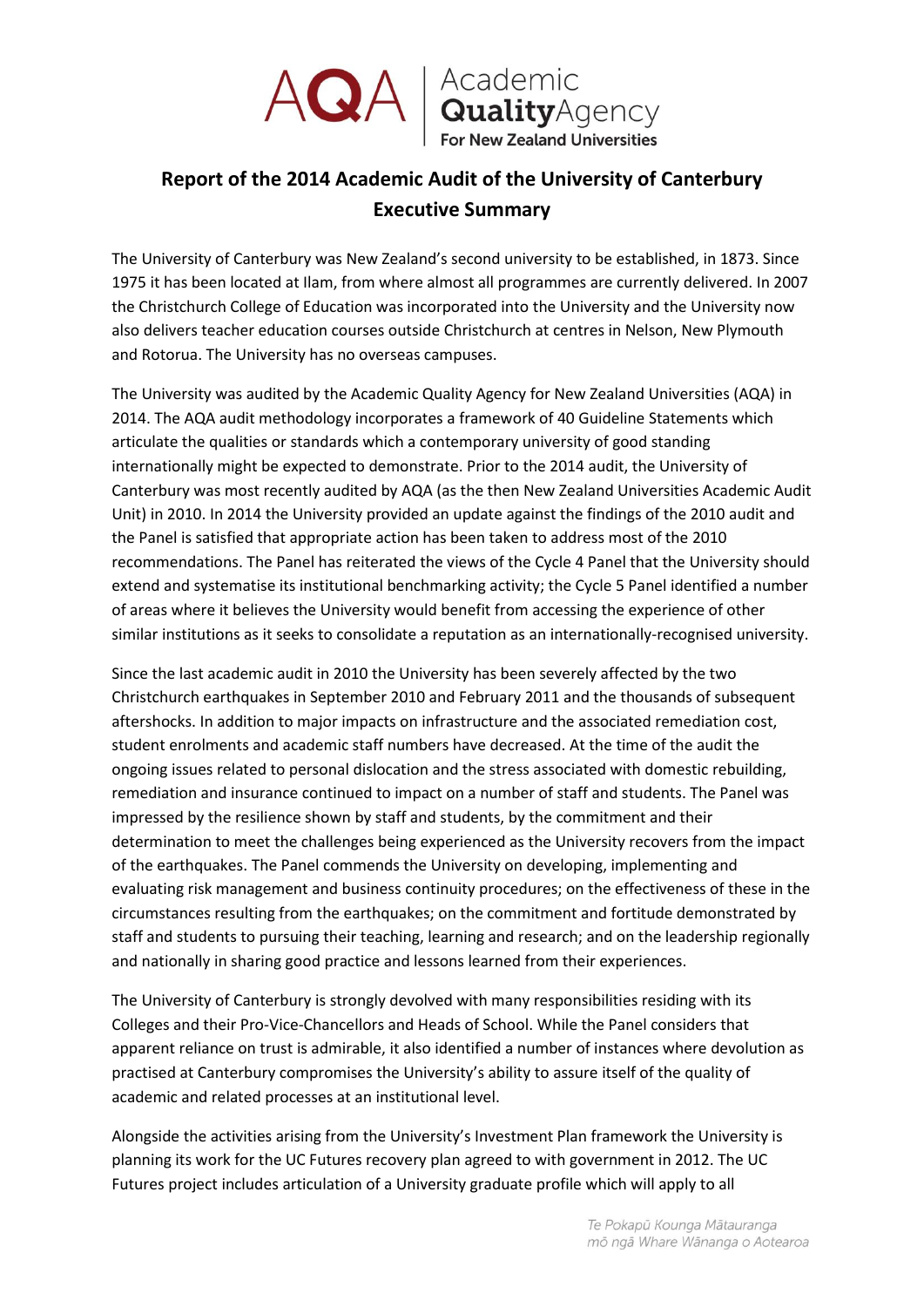

AQA | Academic<br>
For New Zealand Universities

## **Report of the 2014 Academic Audit of the University of Canterbury Executive Summary**

The University of Canterbury was New Zealand's second university to be established, in 1873. Since 1975 it has been located at Ilam, from where almost all programmes are currently delivered. In 2007 the Christchurch College of Education was incorporated into the University and the University now also delivers teacher education courses outside Christchurch at centres in Nelson, New Plymouth and Rotorua. The University has no overseas campuses.

The University was audited by the Academic Quality Agency for New Zealand Universities (AQA) in 2014. The AQA audit methodology incorporates a framework of 40 Guideline Statements which articulate the qualities or standards which a contemporary university of good standing internationally might be expected to demonstrate. Prior to the 2014 audit, the University of Canterbury was most recently audited by AQA (as the then New Zealand Universities Academic Audit Unit) in 2010. In 2014 the University provided an update against the findings of the 2010 audit and the Panel is satisfied that appropriate action has been taken to address most of the 2010 recommendations. The Panel has reiterated the views of the Cycle 4 Panel that the University should extend and systematise its institutional benchmarking activity; the Cycle 5 Panel identified a number of areas where it believes the University would benefit from accessing the experience of other similar institutions as it seeks to consolidate a reputation as an internationally-recognised university.

Since the last academic audit in 2010 the University has been severely affected by the two Christchurch earthquakes in September 2010 and February 2011 and the thousands of subsequent aftershocks. In addition to major impacts on infrastructure and the associated remediation cost, student enrolments and academic staff numbers have decreased. At the time of the audit the ongoing issues related to personal dislocation and the stress associated with domestic rebuilding, remediation and insurance continued to impact on a number of staff and students. The Panel was impressed by the resilience shown by staff and students, by the commitment and their determination to meet the challenges being experienced as the University recovers from the impact of the earthquakes. The Panel commends the University on developing, implementing and evaluating risk management and business continuity procedures; on the effectiveness of these in the circumstances resulting from the earthquakes; on the commitment and fortitude demonstrated by staff and students to pursuing their teaching, learning and research; and on the leadership regionally and nationally in sharing good practice and lessons learned from their experiences.

The University of Canterbury is strongly devolved with many responsibilities residing with its Colleges and their Pro-Vice-Chancellors and Heads of School. While the Panel considers that apparent reliance on trust is admirable, it also identified a number of instances where devolution as practised at Canterbury compromises the University's ability to assure itself of the quality of academic and related processes at an institutional level.

Alongside the activities arising from the University's Investment Plan framework the University is planning its work for the UC Futures recovery plan agreed to with government in 2012. The UC Futures project includes articulation of a University graduate profile which will apply to all